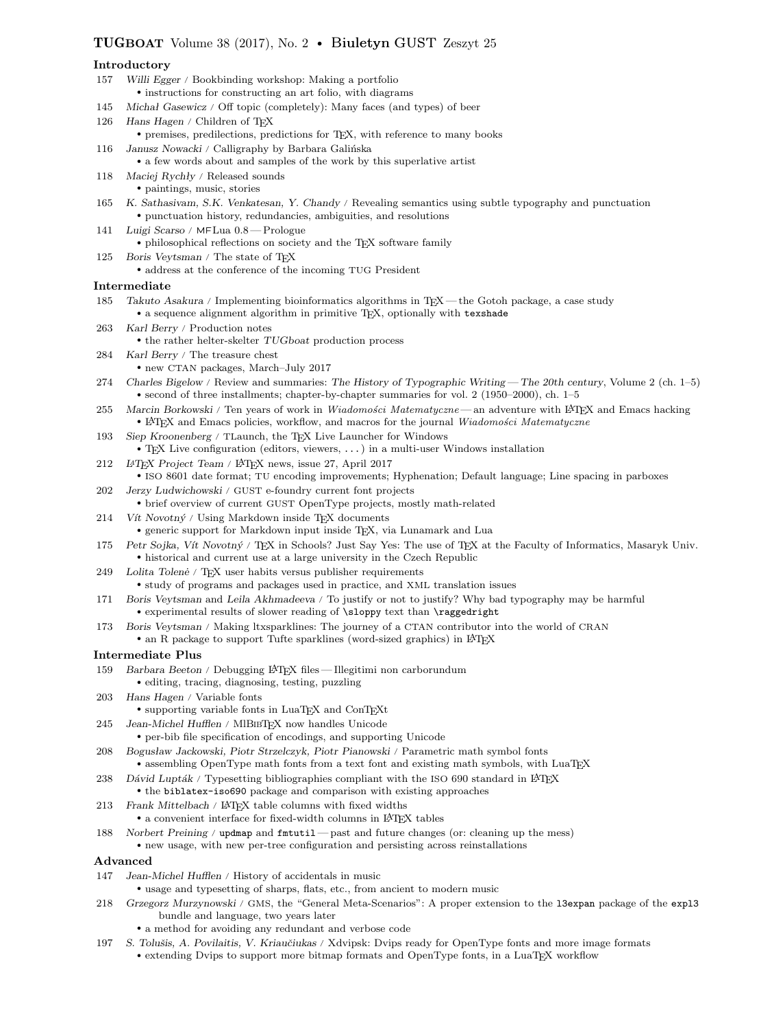# TUGBOAT Volume 38 (2017), No. 2 • Biuletyn GUST Zeszyt 25

## Introductory

- 157 Willi Egger / Bookbinding workshop: Making a portfolio • instructions for constructing an art folio, with diagrams 145 Michał Gasewicz / Off topic (completely): Many faces (and types) of beer 126 Hans Hagen / Children of TEX • premises, predilections, predictions for TEX, with reference to many books 116 Janusz Nowacki / Calligraphy by Barbara Galińska • a few words about and samples of the work by this superlative artist 118 Maciej Rychły / Released sounds • paintings, music, stories 165 K. Sathasivam, S.K. Venkatesan, Y. Chandy / Revealing semantics using subtle typography and punctuation • punctuation history, redundancies, ambiguities, and resolutions 141 Luigi Scarso / MFLua 0.8 — Prologue • philosophical reflections on society and the TEX software family 125 Boris Veytsman / The state of TFX • address at the conference of the incoming TUG President Intermediate 185 Takuto Asakura / Implementing bioinformatics algorithms in TEX — the Gotoh package, a case study • a sequence alignment algorithm in primitive TEX, optionally with texshade 263 Karl Berry / Production notes  $\bullet$  the rather helter-skelter  $TUGboat$  production process 284 Karl Berry / The treasure chest • new CTAN packages, March–July 2017 274 Charles Bigelow / Review and summaries: The History of Typographic Writing — The 20th century, Volume 2 (ch. 1–5) • second of three installments; chapter-by-chapter summaries for vol. 2 (1950–2000), ch. 1–5 255 Marcin Borkowski / Ten years of work in Wiadomości Matematyczne — an adventure with LATEX and Emacs hacking • LATEX and Emacs policies, workflow, and macros for the journal Wiadomości Matematyczne 193 Siep Kroonenberg / TLaunch, the TEX Live Launcher for Windows • TEX Live configuration (editors, viewers, ...) in a multi-user Windows installation 212 LATEX Project Team / LATEX news, issue 27, April 2017 • ISO 8601 date format; TU encoding improvements; Hyphenation; Default language; Line spacing in parboxes 202 Jerzy Ludwichowski / GUST e-foundry current font projects • brief overview of current GUST OpenType projects, mostly math-related
- $214$  Vít Novotný / Using Markdown inside TFX documents
- generic support for Markdown input inside TEX, via Lunamark and Lua
- 175 Petr Sojka, Vít Novotný / TFX in Schools? Just Say Yes: The use of TFX at the Faculty of Informatics, Masaryk Univ. • historical and current use at a large university in the Czech Republic
- 249 Lolita Tolenė / TEX user habits versus publisher requirements • study of programs and packages used in practice, and XML translation issues
- 171 Boris Veytsman and Leila Akhmadeeva / To justify or not to justify? Why bad typography may be harmful • experimental results of slower reading of \sloppy text than \raggedright
- 173 Boris Veytsman / Making ltxsparklines: The journey of a CTAN contributor into the world of CRAN
- an R package to support Tufte sparklines (word-sized graphics) in LATEX

### Intermediate Plus

- 159 Barbara Beeton / Debugging LATEX files Illegitimi non carborundum • editing, tracing, diagnosing, testing, puzzling
- 203 Hans Hagen / Variable fonts
	- supporting variable fonts in LuaTEX and ConTEXt
- 245 Jean-Michel Hufflen / MlBibTEX now handles Unicode • per-bib file specification of encodings, and supporting Unicode
- 208 Bogusław Jackowski, Piotr Strzelczyk, Piotr Pianowski / Parametric math symbol fonts • assembling OpenType math fonts from a text font and existing math symbols, with LuaTEX
- 238 Dávid Lupták / Typesetting bibliographies compliant with the ISO 690 standard in LATEX • the biblatex-iso690 package and comparison with existing approaches
- 213 Frank Mittelbach / L<sup>A</sup>TEX table columns with fixed widths
	- $\bullet$  a convenient interface for fixed-width columns in LATFX tables
- 188 Norbert Preining / updmap and fmtutil past and future changes (or: cleaning up the mess) • new usage, with new per-tree configuration and persisting across reinstallations

#### Advanced

- 147 Jean-Michel Hufflen / History of accidentals in music
	- usage and typesetting of sharps, flats, etc., from ancient to modern music
- 218 Grzegorz Murzynowski / GMS, the "General Meta-Scenarios": A proper extension to the l3expan package of the expl3 bundle and language, two years later
	- a method for avoiding any redundant and verbose code
- 197 S. Tolušis, A. Povilaitis, V. Kriaučiukas / Xdvipsk: Dvips ready for OpenType fonts and more image formats • extending Dvips to support more bitmap formats and OpenType fonts, in a LuaTEX workflow